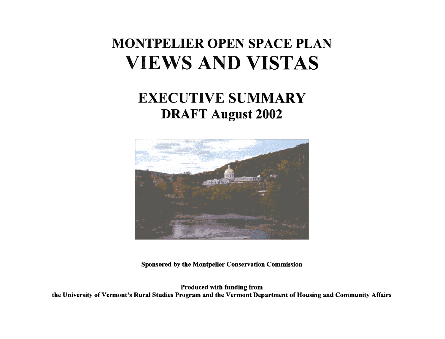# **MONTPELIER OPEN SPACE PLAN VIEWS AND VISTAS**

## **EXECUTIVE SUMMARY DRAFT August 2002**



Sponsored by the Montpelier Conservation Commission

Produced with funding from the University of Vermont's Rural Studies Program and the Vermont Department of Housing and Community Affairs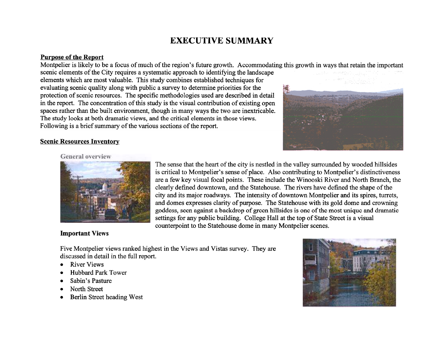### **EXECUTIVE SUMMARY**

#### **Purpose of the Report**

Montpelier is likely to be a focus of much of the region's future growth. Accommodating this growth in ways that retain the important

scenic elements of the City requires a systematic approach to identifying the landscape elements which are most valuable. This study combines established techniques for evaluating scenic quality along with public a survey to determine priorities for the protection of scenic resources. The specific methodologies used are described in detail in the report. The concentration of this study is the visual contribution of existing open spaces rather than the built environment, though in many ways the two are inextricable. The study looks at both dramatic views, and the critical elements in those views. Following is a brief summary of the various sections of the report.



#### **Scenic Resources Inventory**

#### **General** overview



### **Important Views**

The sense that the heart of the city is nestled in the valley surrounded by wooded hillsides is critical to Montpelier's sense of place. Also contributing to Montpelier's distinctiveness are a few key visual focal points. These include the Winooski River and North Branch, the clearly defined downtown, and the Statehouse. The rivers have defined the shape of the city and its major roadways. The intensity of downtown Montpelier and its spires, turrets, and domes expresses clarity of purpose. The Statehouse with its gold dome and crowning goddess, seen against a backdrop of green hillsides is one of the most unique and dramatic settings for any public building. College Hall at the top of State Street is a visual counterpoint to the Statehouse dome in many Montpelier scenes.

Five Montpelier views ranked highest in the Views and Vistas survey. They are discussed in detail in the full report.

- **River Views**
- Hubbard Park Tower
- Sabin's Pasture
- North Street
- Berlin Street heading West